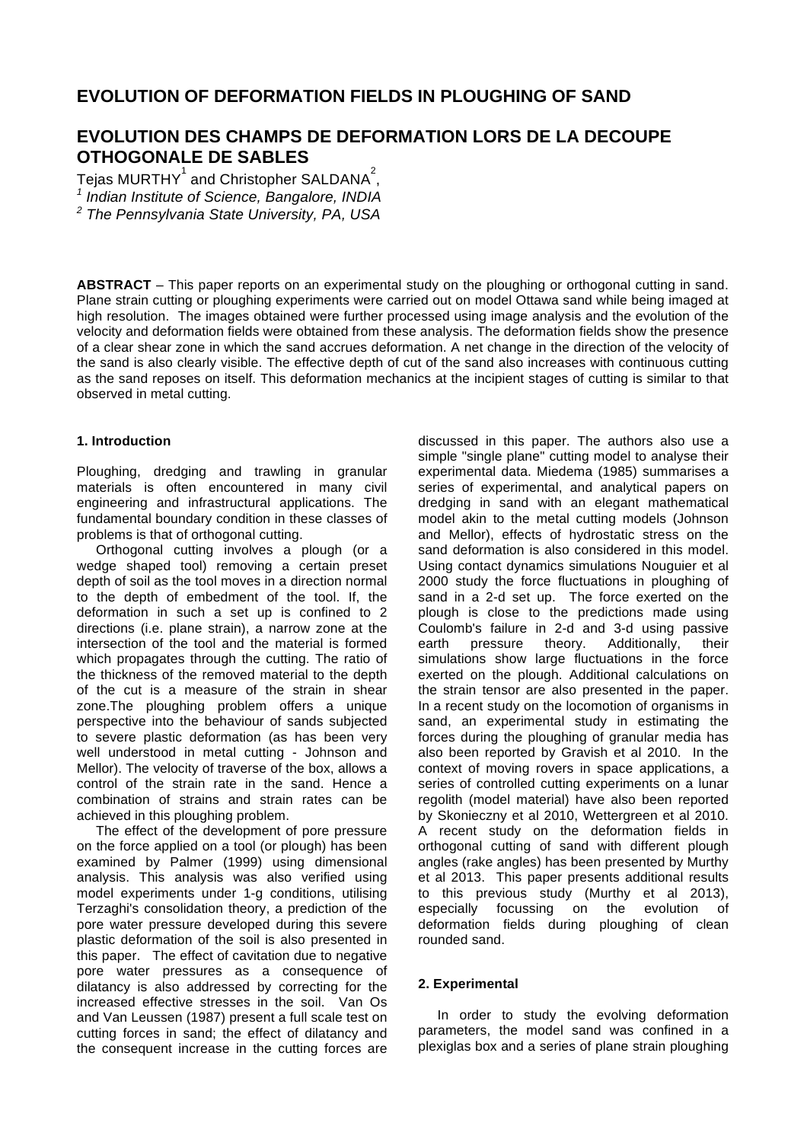# **EVOLUTION OF DEFORMATION FIELDS IN PLOUGHING OF SAND**

# **EVOLUTION DES CHAMPS DE DEFORMATION LORS DE LA DECOUPE OTHOGONALE DE SABLES**

Tejas MURTHY $^{\rm 1}$  and Christopher SALDANA $^{\rm 2}$ , *<sup>1</sup> Indian Institute of Science, Bangalore, INDIA <sup>2</sup> The Pennsylvania State University, PA, USA* 

**ABSTRACT** – This paper reports on an experimental study on the ploughing or orthogonal cutting in sand. Plane strain cutting or ploughing experiments were carried out on model Ottawa sand while being imaged at high resolution. The images obtained were further processed using image analysis and the evolution of the

velocity and deformation fields were obtained from these analysis. The deformation fields show the presence of a clear shear zone in which the sand accrues deformation. A net change in the direction of the velocity of the sand is also clearly visible. The effective depth of cut of the sand also increases with continuous cutting as the sand reposes on itself. This deformation mechanics at the incipient stages of cutting is similar to that observed in metal cutting.

## **1. Introduction**

Ploughing, dredging and trawling in granular materials is often encountered in many civil engineering and infrastructural applications. The fundamental boundary condition in these classes of problems is that of orthogonal cutting.

Orthogonal cutting involves a plough (or a wedge shaped tool) removing a certain preset depth of soil as the tool moves in a direction normal to the depth of embedment of the tool. If, the deformation in such a set up is confined to 2 directions (i.e. plane strain), a narrow zone at the intersection of the tool and the material is formed which propagates through the cutting. The ratio of the thickness of the removed material to the depth of the cut is a measure of the strain in shear zone.The ploughing problem offers a unique perspective into the behaviour of sands subjected to severe plastic deformation (as has been very well understood in metal cutting - Johnson and Mellor). The velocity of traverse of the box, allows a control of the strain rate in the sand. Hence a combination of strains and strain rates can be achieved in this ploughing problem.

The effect of the development of pore pressure on the force applied on a tool (or plough) has been examined by Palmer (1999) using dimensional analysis. This analysis was also verified using model experiments under 1-g conditions, utilising Terzaghi's consolidation theory, a prediction of the pore water pressure developed during this severe plastic deformation of the soil is also presented in this paper. The effect of cavitation due to negative pore water pressures as a consequence of dilatancy is also addressed by correcting for the increased effective stresses in the soil. Van Os and Van Leussen (1987) present a full scale test on cutting forces in sand; the effect of dilatancy and the consequent increase in the cutting forces are

discussed in this paper. The authors also use a simple "single plane" cutting model to analyse their experimental data. Miedema (1985) summarises a series of experimental, and analytical papers on dredging in sand with an elegant mathematical model akin to the metal cutting models (Johnson and Mellor), effects of hydrostatic stress on the sand deformation is also considered in this model. Using contact dynamics simulations Nouguier et al 2000 study the force fluctuations in ploughing of sand in a 2-d set up. The force exerted on the plough is close to the predictions made using Coulomb's failure in 2-d and 3-d using passive earth pressure theory. Additionally, their simulations show large fluctuations in the force exerted on the plough. Additional calculations on the strain tensor are also presented in the paper. In a recent study on the locomotion of organisms in sand, an experimental study in estimating the forces during the ploughing of granular media has also been reported by Gravish et al 2010. In the context of moving rovers in space applications, a series of controlled cutting experiments on a lunar regolith (model material) have also been reported by Skonieczny et al 2010, Wettergreen et al 2010. A recent study on the deformation fields in orthogonal cutting of sand with different plough angles (rake angles) has been presented by Murthy et al 2013. This paper presents additional results to this previous study (Murthy et al 2013), especially focussing on the evolution of deformation fields during ploughing of clean rounded sand.

#### **2. Experimental**

In order to study the evolving deformation parameters, the model sand was confined in a plexiglas box and a series of plane strain ploughing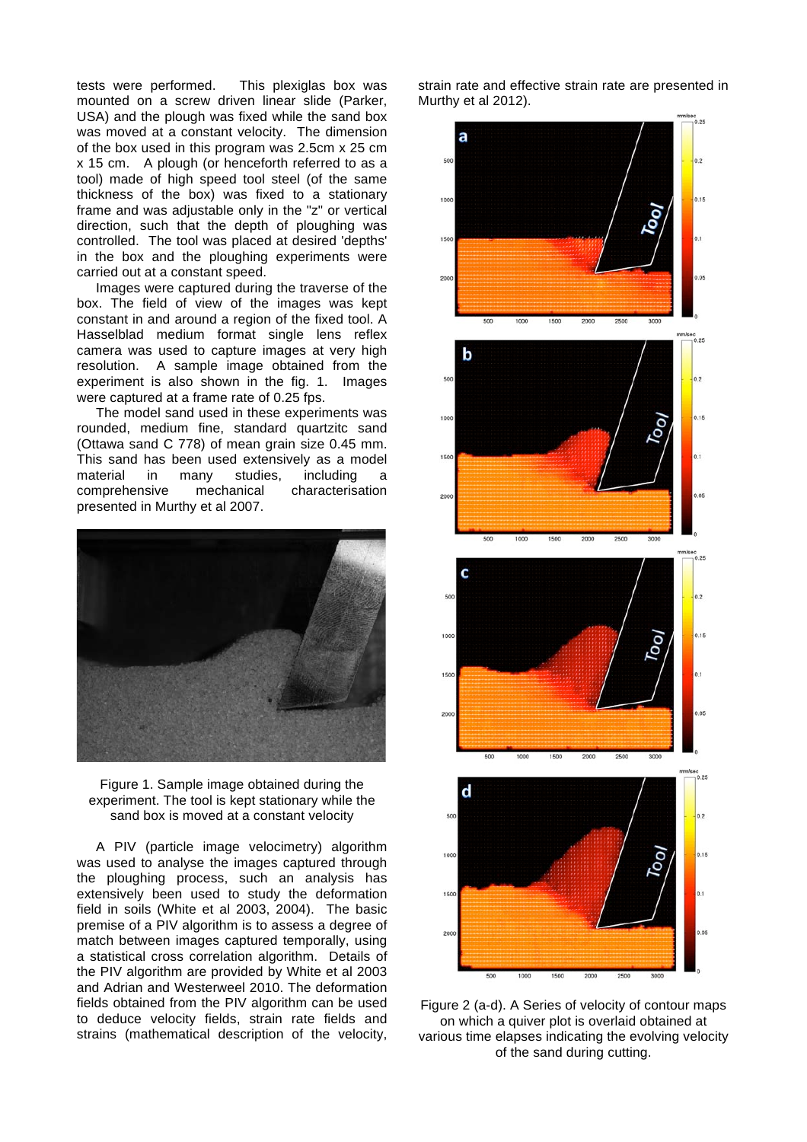tests were performed. This plexiglas box was mounted on a screw driven linear slide (Parker, USA) and the plough was fixed while the sand box was moved at a constant velocity. The dimension of the box used in this program was 2.5cm x 25 cm x 15 cm. A plough (or henceforth referred to as a tool) made of high speed tool steel (of the same thickness of the box) was fixed to a stationary frame and was adjustable only in the "z" or vertical direction, such that the depth of ploughing was controlled. The tool was placed at desired 'depths' in the box and the ploughing experiments were carried out at a constant speed.

Images were captured during the traverse of the box. The field of view of the images was kept constant in and around a region of the fixed tool. A Hasselblad medium format single lens reflex camera was used to capture images at very high resolution. A sample image obtained from the experiment is also shown in the fig. 1. Images were captured at a frame rate of 0.25 fps.

The model sand used in these experiments was rounded, medium fine, standard quartzitc sand (Ottawa sand C 778) of mean grain size 0.45 mm. This sand has been used extensively as a model material in many studies, including a comprehensive mechanical characterisation presented in Murthy et al 2007.



Figure 1. Sample image obtained during the experiment. The tool is kept stationary while the sand box is moved at a constant velocity

A PIV (particle image velocimetry) algorithm was used to analyse the images captured through the ploughing process, such an analysis has extensively been used to study the deformation field in soils (White et al 2003, 2004). The basic premise of a PIV algorithm is to assess a degree of match between images captured temporally, using a statistical cross correlation algorithm. Details of the PIV algorithm are provided by White et al 2003 and Adrian and Westerweel 2010. The deformation fields obtained from the PIV algorithm can be used to deduce velocity fields, strain rate fields and strains (mathematical description of the velocity, strain rate and effective strain rate are presented in Murthy et al 2012).



Figure 2 (a-d). A Series of velocity of contour maps on which a quiver plot is overlaid obtained at various time elapses indicating the evolving velocity of the sand during cutting.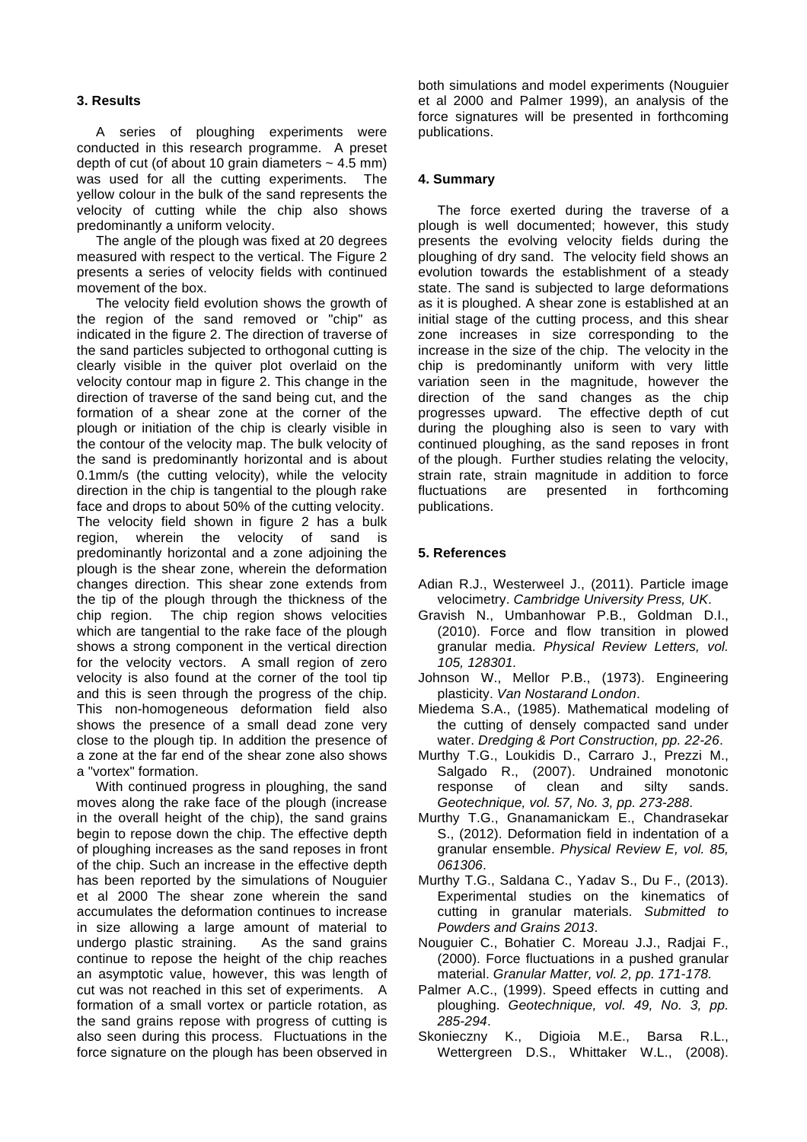## **3. Results**

A series of ploughing experiments were conducted in this research programme. A preset depth of cut (of about 10 grain diameters  $\sim$  4.5 mm) was used for all the cutting experiments. The yellow colour in the bulk of the sand represents the velocity of cutting while the chip also shows predominantly a uniform velocity.

The angle of the plough was fixed at 20 degrees measured with respect to the vertical. The Figure 2 presents a series of velocity fields with continued movement of the box.

The velocity field evolution shows the growth of the region of the sand removed or "chip" as indicated in the figure 2. The direction of traverse of the sand particles subjected to orthogonal cutting is clearly visible in the quiver plot overlaid on the velocity contour map in figure 2. This change in the direction of traverse of the sand being cut, and the formation of a shear zone at the corner of the plough or initiation of the chip is clearly visible in the contour of the velocity map. The bulk velocity of the sand is predominantly horizontal and is about 0.1mm/s (the cutting velocity), while the velocity direction in the chip is tangential to the plough rake face and drops to about 50% of the cutting velocity. The velocity field shown in figure 2 has a bulk region, wherein the velocity of sand is predominantly horizontal and a zone adjoining the plough is the shear zone, wherein the deformation changes direction. This shear zone extends from the tip of the plough through the thickness of the chip region. The chip region shows velocities which are tangential to the rake face of the plough shows a strong component in the vertical direction for the velocity vectors. A small region of zero velocity is also found at the corner of the tool tip and this is seen through the progress of the chip. This non-homogeneous deformation field also shows the presence of a small dead zone very close to the plough tip. In addition the presence of a zone at the far end of the shear zone also shows a "vortex" formation.

With continued progress in ploughing, the sand moves along the rake face of the plough (increase in the overall height of the chip), the sand grains begin to repose down the chip. The effective depth of ploughing increases as the sand reposes in front of the chip. Such an increase in the effective depth has been reported by the simulations of Nouguier et al 2000 The shear zone wherein the sand accumulates the deformation continues to increase in size allowing a large amount of material to undergo plastic straining. As the sand grains continue to repose the height of the chip reaches an asymptotic value, however, this was length of cut was not reached in this set of experiments. A formation of a small vortex or particle rotation, as the sand grains repose with progress of cutting is also seen during this process. Fluctuations in the force signature on the plough has been observed in both simulations and model experiments (Nouguier et al 2000 and Palmer 1999), an analysis of the force signatures will be presented in forthcoming publications.

#### **4. Summary**

The force exerted during the traverse of a plough is well documented; however, this study presents the evolving velocity fields during the ploughing of dry sand. The velocity field shows an evolution towards the establishment of a steady state. The sand is subjected to large deformations as it is ploughed. A shear zone is established at an initial stage of the cutting process, and this shear zone increases in size corresponding to the increase in the size of the chip. The velocity in the chip is predominantly uniform with very little variation seen in the magnitude, however the direction of the sand changes as the chip progresses upward. The effective depth of cut during the ploughing also is seen to vary with continued ploughing, as the sand reposes in front of the plough. Further studies relating the velocity, strain rate, strain magnitude in addition to force fluctuations are presented in forthcoming publications.

#### **5. References**

- Adian R.J., Westerweel J., (2011). Particle image velocimetry. *Cambridge University Press, UK*.
- Gravish N., Umbanhowar P.B., Goldman D.I., (2010). Force and flow transition in plowed granular media. *Physical Review Letters, vol. 105, 128301.*
- Johnson W., Mellor P.B., (1973). Engineering plasticity. *Van Nostarand London*.
- Miedema S.A., (1985). Mathematical modeling of the cutting of densely compacted sand under water. *Dredging & Port Construction, pp. 22-26*.
- Murthy T.G., Loukidis D., Carraro J., Prezzi M., Salgado R., (2007). Undrained monotonic response of clean and silty sands. *Geotechnique, vol. 57, No. 3, pp. 273-288*.
- Murthy T.G., Gnanamanickam E., Chandrasekar S., (2012). Deformation field in indentation of a granular ensemble. *Physical Review E, vol. 85, 061306*.
- Murthy T.G., Saldana C., Yadav S., Du F., (2013). Experimental studies on the kinematics of cutting in granular materials. *Submitted to Powders and Grains 2013*.
- Nouguier C., Bohatier C. Moreau J.J., Radjai F., (2000). Force fluctuations in a pushed granular material. *Granular Matter, vol. 2, pp. 171-178.*
- Palmer A.C., (1999). Speed effects in cutting and ploughing. *Geotechnique, vol. 49, No. 3, pp. 285-294*.
- Skonieczny K., Digioia M.E., Barsa R.L., Wettergreen D.S., Whittaker W.L., (2008).